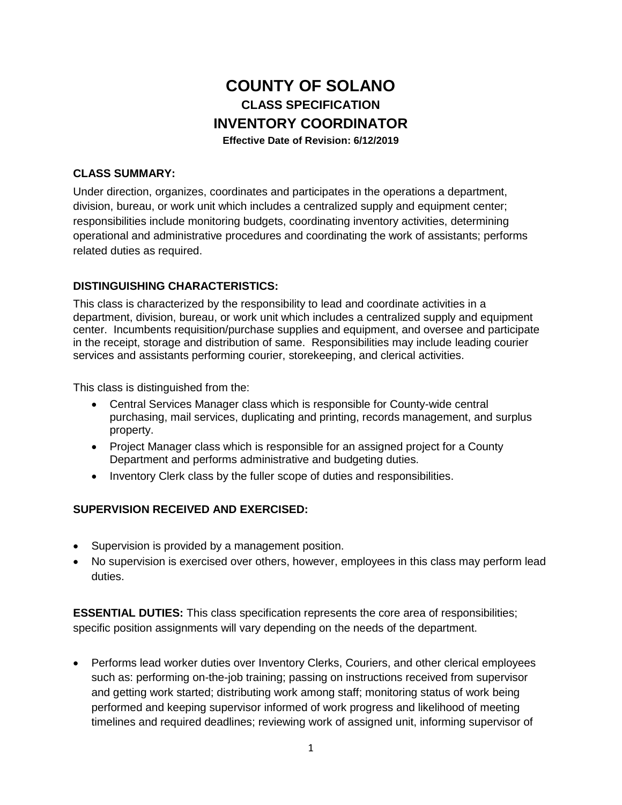# **COUNTY OF SOLANO CLASS SPECIFICATION INVENTORY COORDINATOR Effective Date of Revision: 6/12/2019**

# **CLASS SUMMARY:**

Under direction, organizes, coordinates and participates in the operations a department, division, bureau, or work unit which includes a centralized supply and equipment center; responsibilities include monitoring budgets, coordinating inventory activities, determining operational and administrative procedures and coordinating the work of assistants; performs related duties as required.

# **DISTINGUISHING CHARACTERISTICS:**

This class is characterized by the responsibility to lead and coordinate activities in a department, division, bureau, or work unit which includes a centralized supply and equipment center. Incumbents requisition/purchase supplies and equipment, and oversee and participate in the receipt, storage and distribution of same. Responsibilities may include leading courier services and assistants performing courier, storekeeping, and clerical activities.

This class is distinguished from the:

- Central Services Manager class which is responsible for County-wide central purchasing, mail services, duplicating and printing, records management, and surplus property.
- Project Manager class which is responsible for an assigned project for a County Department and performs administrative and budgeting duties.
- Inventory Clerk class by the fuller scope of duties and responsibilities.

#### **SUPERVISION RECEIVED AND EXERCISED:**

- Supervision is provided by a management position.
- No supervision is exercised over others, however, employees in this class may perform lead duties.

**ESSENTIAL DUTIES:** This class specification represents the core area of responsibilities; specific position assignments will vary depending on the needs of the department.

• Performs lead worker duties over Inventory Clerks, Couriers, and other clerical employees such as: performing on-the-job training; passing on instructions received from supervisor and getting work started; distributing work among staff; monitoring status of work being performed and keeping supervisor informed of work progress and likelihood of meeting timelines and required deadlines; reviewing work of assigned unit, informing supervisor of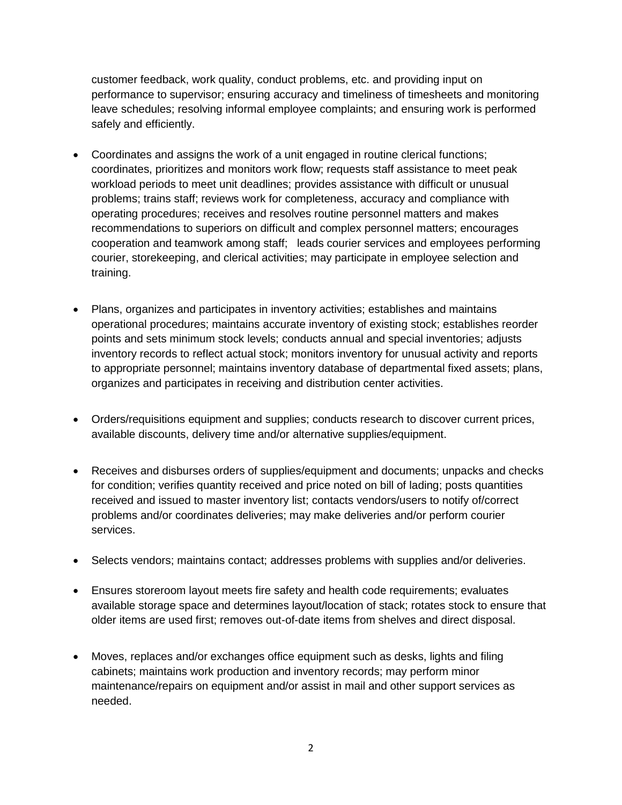customer feedback, work quality, conduct problems, etc. and providing input on performance to supervisor; ensuring accuracy and timeliness of timesheets and monitoring leave schedules; resolving informal employee complaints; and ensuring work is performed safely and efficiently.

- Coordinates and assigns the work of a unit engaged in routine clerical functions; coordinates, prioritizes and monitors work flow; requests staff assistance to meet peak workload periods to meet unit deadlines; provides assistance with difficult or unusual problems; trains staff; reviews work for completeness, accuracy and compliance with operating procedures; receives and resolves routine personnel matters and makes recommendations to superiors on difficult and complex personnel matters; encourages cooperation and teamwork among staff; leads courier services and employees performing courier, storekeeping, and clerical activities; may participate in employee selection and training.
- Plans, organizes and participates in inventory activities; establishes and maintains operational procedures; maintains accurate inventory of existing stock; establishes reorder points and sets minimum stock levels; conducts annual and special inventories; adjusts inventory records to reflect actual stock; monitors inventory for unusual activity and reports to appropriate personnel; maintains inventory database of departmental fixed assets; plans, organizes and participates in receiving and distribution center activities.
- Orders/requisitions equipment and supplies; conducts research to discover current prices, available discounts, delivery time and/or alternative supplies/equipment.
- Receives and disburses orders of supplies/equipment and documents; unpacks and checks for condition; verifies quantity received and price noted on bill of lading; posts quantities received and issued to master inventory list; contacts vendors/users to notify of/correct problems and/or coordinates deliveries; may make deliveries and/or perform courier services.
- Selects vendors; maintains contact; addresses problems with supplies and/or deliveries.
- Ensures storeroom layout meets fire safety and health code requirements; evaluates available storage space and determines layout/location of stack; rotates stock to ensure that older items are used first; removes out-of-date items from shelves and direct disposal.
- Moves, replaces and/or exchanges office equipment such as desks, lights and filing cabinets; maintains work production and inventory records; may perform minor maintenance/repairs on equipment and/or assist in mail and other support services as needed.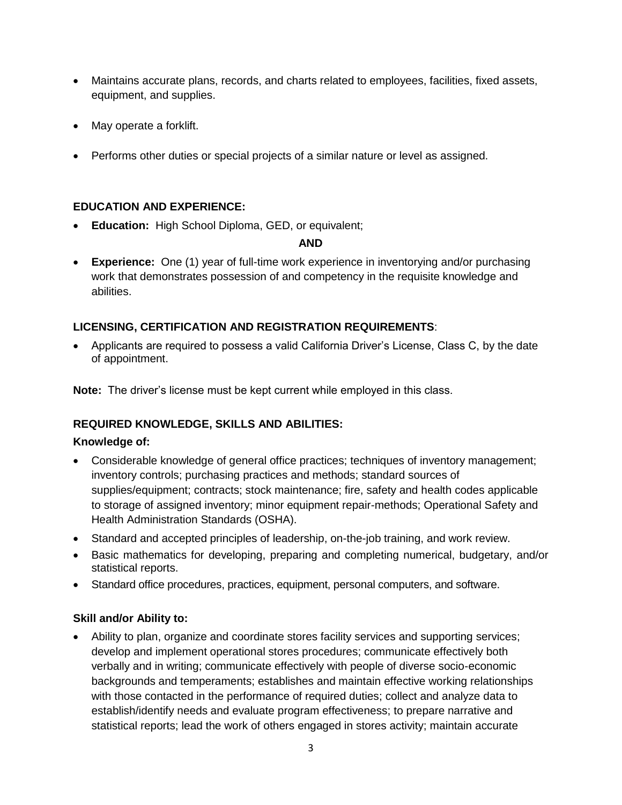- Maintains accurate plans, records, and charts related to employees, facilities, fixed assets, equipment, and supplies.
- May operate a forklift.
- Performs other duties or special projects of a similar nature or level as assigned.

# **EDUCATION AND EXPERIENCE:**

• **Education:** High School Diploma, GED, or equivalent;

#### **AND**

• **Experience:** One (1) year of full-time work experience in inventorying and/or purchasing work that demonstrates possession of and competency in the requisite knowledge and abilities.

# **LICENSING, CERTIFICATION AND REGISTRATION REQUIREMENTS**:

• Applicants are required to possess a valid California Driver's License, Class C, by the date of appointment.

**Note:** The driver's license must be kept current while employed in this class.

#### **REQUIRED KNOWLEDGE, SKILLS AND ABILITIES:**

#### **Knowledge of:**

- Considerable knowledge of general office practices; techniques of inventory management; inventory controls; purchasing practices and methods; standard sources of supplies/equipment; contracts; stock maintenance; fire, safety and health codes applicable to storage of assigned inventory; minor equipment repair-methods; Operational Safety and Health Administration Standards (OSHA).
- Standard and accepted principles of leadership, on-the-job training, and work review.
- Basic mathematics for developing, preparing and completing numerical, budgetary, and/or statistical reports.
- Standard office procedures, practices, equipment, personal computers, and software.

#### **Skill and/or Ability to:**

• Ability to plan, organize and coordinate stores facility services and supporting services; develop and implement operational stores procedures; communicate effectively both verbally and in writing; communicate effectively with people of diverse socio-economic backgrounds and temperaments; establishes and maintain effective working relationships with those contacted in the performance of required duties; collect and analyze data to establish/identify needs and evaluate program effectiveness; to prepare narrative and statistical reports; lead the work of others engaged in stores activity; maintain accurate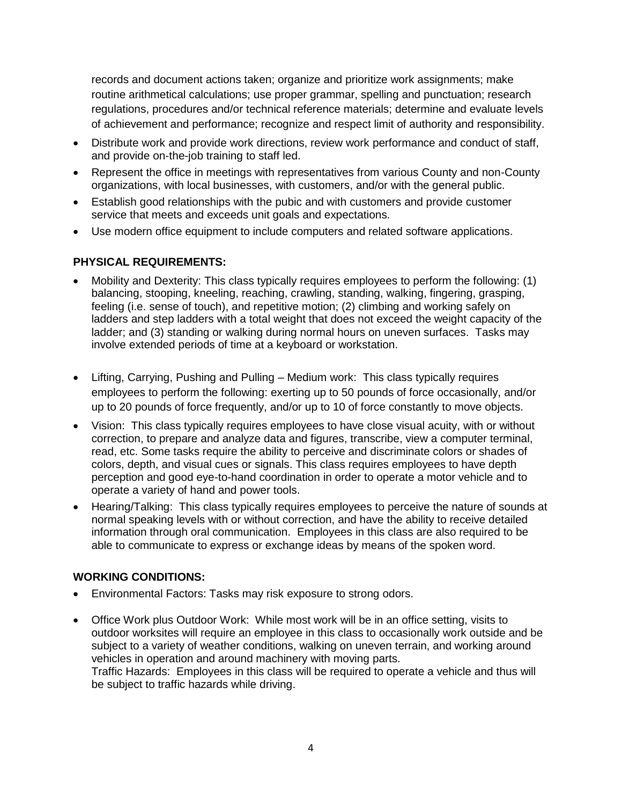records and document actions taken; organize and prioritize work assignments; make routine arithmetical calculations; use proper grammar, spelling and punctuation; research regulations, procedures and/or technical reference materials; determine and evaluate levels of achievement and performance; recognize and respect limit of authority and responsibility.

- Distribute work and provide work directions, review work performance and conduct of staff, and provide on-the-job training to staff led.
- Represent the office in meetings with representatives from various County and non-County organizations, with local businesses, with customers, and/or with the general public.
- Establish good relationships with the pubic and with customers and provide customer service that meets and exceeds unit goals and expectations.
- Use modern office equipment to include computers and related software applications.

# **PHYSICAL REQUIREMENTS:**

- Mobility and Dexterity: This class typically requires employees to perform the following: (1) balancing, stooping, kneeling, reaching, crawling, standing, walking, fingering, grasping, feeling (i.e. sense of touch), and repetitive motion; (2) climbing and working safely on ladders and step ladders with a total weight that does not exceed the weight capacity of the ladder; and (3) standing or walking during normal hours on uneven surfaces. Tasks may involve extended periods of time at a keyboard or workstation.
- Lifting, Carrying, Pushing and Pulling Medium work: This class typically requires employees to perform the following: exerting up to 50 pounds of force occasionally, and/or up to 20 pounds of force frequently, and/or up to 10 of force constantly to move objects.
- Vision: This class typically requires employees to have close visual acuity, with or without correction, to prepare and analyze data and figures, transcribe, view a computer terminal, read, etc. Some tasks require the ability to perceive and discriminate colors or shades of colors, depth, and visual cues or signals. This class requires employees to have depth perception and good eye-to-hand coordination in order to operate a motor vehicle and to operate a variety of hand and power tools.
- Hearing/Talking: This class typically requires employees to perceive the nature of sounds at normal speaking levels with or without correction, and have the ability to receive detailed information through oral communication. Employees in this class are also required to be able to communicate to express or exchange ideas by means of the spoken word.

#### **WORKING CONDITIONS:**

- Environmental Factors: Tasks may risk exposure to strong odors.
- Office Work plus Outdoor Work: While most work will be in an office setting, visits to outdoor worksites will require an employee in this class to occasionally work outside and be subject to a variety of weather conditions, walking on uneven terrain, and working around vehicles in operation and around machinery with moving parts. Traffic Hazards: Employees in this class will be required to operate a vehicle and thus will be subject to traffic hazards while driving.